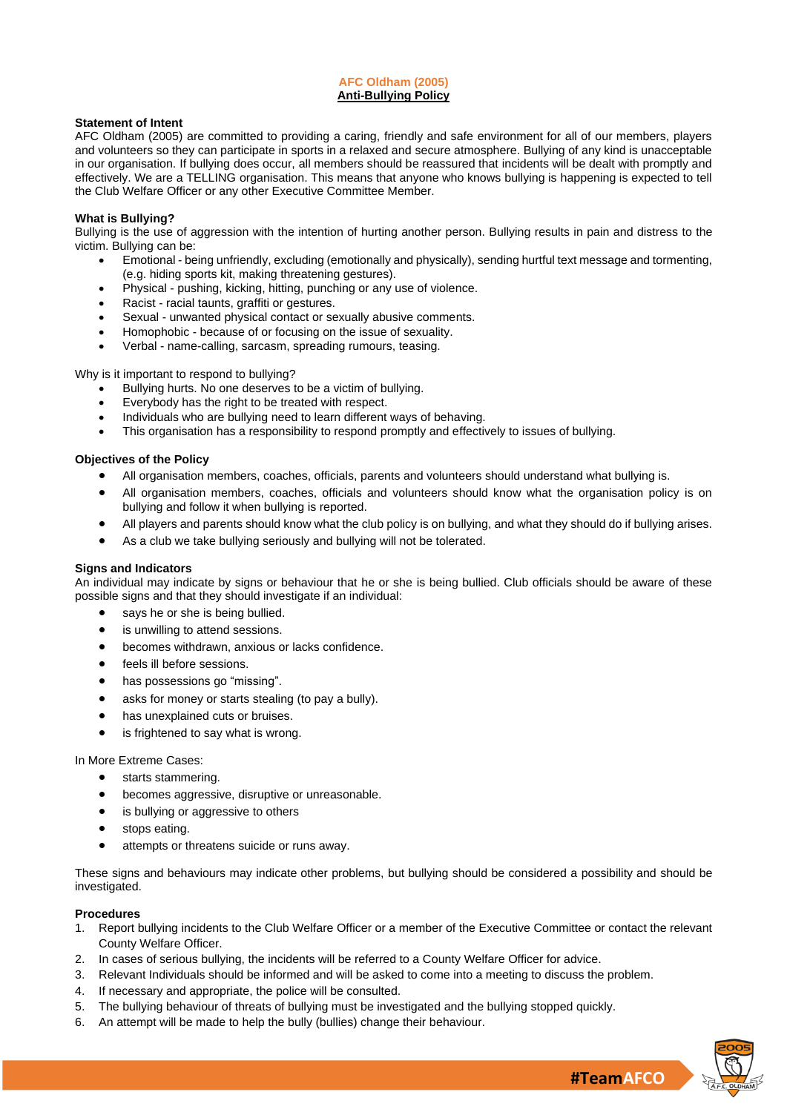## **AFC Oldham (2005) Anti-Bullying Policy**

#### **Statement of Intent**

AFC Oldham (2005) are committed to providing a caring, friendly and safe environment for all of our members, players and volunteers so they can participate in sports in a relaxed and secure atmosphere. Bullying of any kind is unacceptable in our organisation. If bullying does occur, all members should be reassured that incidents will be dealt with promptly and effectively. We are a TELLING organisation. This means that anyone who knows bullying is happening is expected to tell the Club Welfare Officer or any other Executive Committee Member.

## **What is Bullying?**

Bullying is the use of aggression with the intention of hurting another person. Bullying results in pain and distress to the victim. Bullying can be:

- Emotional being unfriendly, excluding (emotionally and physically), sending hurtful text message and tormenting, (e.g. hiding sports kit, making threatening gestures).
- Physical pushing, kicking, hitting, punching or any use of violence.
- Racist racial taunts, graffiti or gestures.
- Sexual unwanted physical contact or sexually abusive comments.
- Homophobic because of or focusing on the issue of sexuality.
- Verbal name-calling, sarcasm, spreading rumours, teasing.

Why is it important to respond to bullying?

- Bullying hurts. No one deserves to be a victim of bullying.
- Everybody has the right to be treated with respect.
- Individuals who are bullying need to learn different ways of behaving.
- This organisation has a responsibility to respond promptly and effectively to issues of bullying.

## **Objectives of the Policy**

- All organisation members, coaches, officials, parents and volunteers should understand what bullying is.
- All organisation members, coaches, officials and volunteers should know what the organisation policy is on bullying and follow it when bullying is reported.
- All players and parents should know what the club policy is on bullying, and what they should do if bullying arises.
- As a club we take bullying seriously and bullying will not be tolerated.

#### **Signs and Indicators**

An individual may indicate by signs or behaviour that he or she is being bullied. Club officials should be aware of these possible signs and that they should investigate if an individual:

- says he or she is being bullied.
- is unwilling to attend sessions.
- becomes withdrawn, anxious or lacks confidence.
- feels ill before sessions.
- has possessions go "missing".
- asks for money or starts stealing (to pay a bully).
- has unexplained cuts or bruises.
- is frightened to say what is wrong.

In More Extreme Cases:

- starts stammering.
- becomes aggressive, disruptive or unreasonable.
- is bullying or aggressive to others
- stops eating.
- attempts or threatens suicide or runs away.

These signs and behaviours may indicate other problems, but bullying should be considered a possibility and should be investigated.

#### **Procedures**

- 1. Report bullying incidents to the Club Welfare Officer or a member of the Executive Committee or contact the relevant County Welfare Officer.
- 2. In cases of serious bullying, the incidents will be referred to a County Welfare Officer for advice.
- 3. Relevant Individuals should be informed and will be asked to come into a meeting to discuss the problem.
- 4. If necessary and appropriate, the police will be consulted.
- 5. The bullying behaviour of threats of bullying must be investigated and the bullying stopped quickly.
- 6. An attempt will be made to help the bully (bullies) change their behaviour.



**#TeamAFCO**